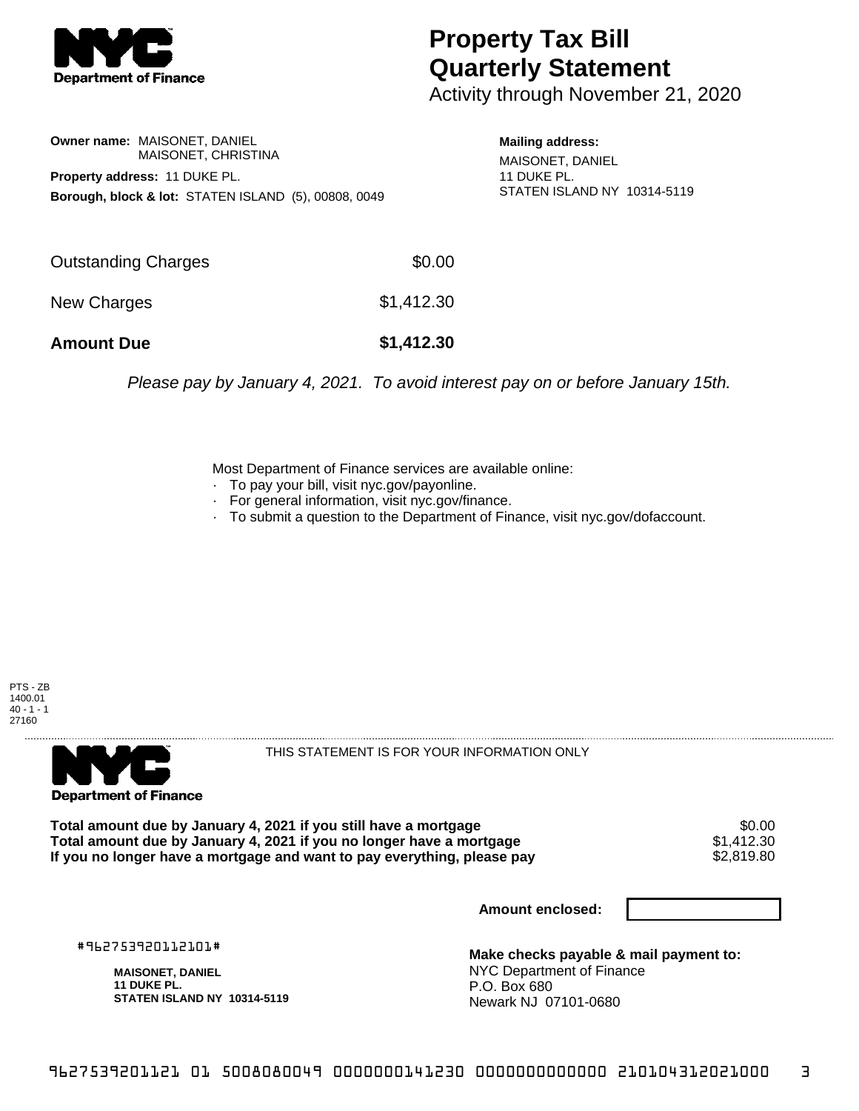

## **Property Tax Bill Quarterly Statement**

Activity through November 21, 2020

**Owner name:** MAISONET, DANIEL MAISONET, CHRISTINA **Property address:** 11 DUKE PL. **Borough, block & lot:** STATEN ISLAND (5), 00808, 0049

**Mailing address:** MAISONET, DANIEL 11 DUKE PL. STATEN ISLAND NY 10314-5119

| <b>Amount Due</b>          | \$1,412.30 |
|----------------------------|------------|
| New Charges                | \$1,412.30 |
| <b>Outstanding Charges</b> | \$0.00     |

Please pay by January 4, 2021. To avoid interest pay on or before January 15th.

Most Department of Finance services are available online:

- · To pay your bill, visit nyc.gov/payonline.
- For general information, visit nyc.gov/finance.
- · To submit a question to the Department of Finance, visit nyc.gov/dofaccount.

PTS - ZB 1400.01  $40 - 1 - 1$ 27160



THIS STATEMENT IS FOR YOUR INFORMATION ONLY

Total amount due by January 4, 2021 if you still have a mortgage **\$0.00** \$0.00<br>Total amount due by January 4, 2021 if you no longer have a mortgage **\$1.412.30 Total amount due by January 4, 2021 if you no longer have a mortgage**  $$1,412.30$ **<br>If you no longer have a mortgage and want to pay everything, please pay**  $$2.819.80$ If you no longer have a mortgage and want to pay everything, please pay

**Amount enclosed:**

#962753920112101#

**MAISONET, DANIEL 11 DUKE PL. STATEN ISLAND NY 10314-5119**

**Make checks payable & mail payment to:** NYC Department of Finance P.O. Box 680 Newark NJ 07101-0680